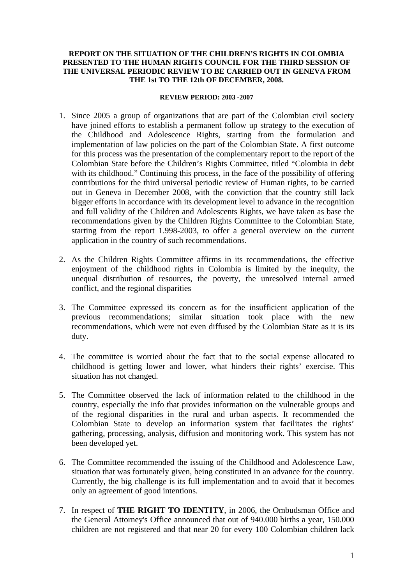## **REPORT ON THE SITUATION OF THE CHILDREN'S RIGHTS IN COLOMBIA PRESENTED TO THE HUMAN RIGHTS COUNCIL FOR THE THIRD SESSION OF THE UNIVERSAL PERIODIC REVIEW TO BE CARRIED OUT IN GENEVA FROM THE 1st TO THE 12th OF DECEMBER, 2008.**

## **REVIEW PERIOD: 2003 -2007**

- 1. Since 2005 a group of organizations that are part of the Colombian civil society have joined efforts to establish a permanent follow up strategy to the execution of the Childhood and Adolescence Rights, starting from the formulation and implementation of law policies on the part of the Colombian State. A first outcome for this process was the presentation of the complementary report to the report of the Colombian State before the Children's Rights Committee, titled "Colombia in debt with its childhood." Continuing this process, in the face of the possibility of offering contributions for the third universal periodic review of Human rights, to be carried out in Geneva in December 2008, with the conviction that the country still lack bigger efforts in accordance with its development level to advance in the recognition and full validity of the Children and Adolescents Rights, we have taken as base the recommendations given by the Children Rights Committee to the Colombian State, starting from the report 1.998-2003, to offer a general overview on the current application in the country of such recommendations.
- 2. As the Children Rights Committee affirms in its recommendations, the effective enjoyment of the childhood rights in Colombia is limited by the inequity, the unequal distribution of resources, the poverty, the unresolved internal armed conflict, and the regional disparities
- 3. The Committee expressed its concern as for the insufficient application of the previous recommendations; similar situation took place with the new recommendations, which were not even diffused by the Colombian State as it is its duty.
- 4. The committee is worried about the fact that to the social expense allocated to childhood is getting lower and lower, what hinders their rights' exercise. This situation has not changed.
- 5. The Committee observed the lack of information related to the childhood in the country, especially the info that provides information on the vulnerable groups and of the regional disparities in the rural and urban aspects. It recommended the Colombian State to develop an information system that facilitates the rights' gathering, processing, analysis, diffusion and monitoring work. This system has not been developed yet.
- 6. The Committee recommended the issuing of the Childhood and Adolescence Law, situation that was fortunately given, being constituted in an advance for the country. Currently, the big challenge is its full implementation and to avoid that it becomes only an agreement of good intentions.
- 7. In respect of **THE RIGHT TO IDENTITY**, in 2006, the Ombudsman Office and the General Attorney's Office announced that out of 940.000 births a year, 150.000 children are not registered and that near 20 for every 100 Colombian children lack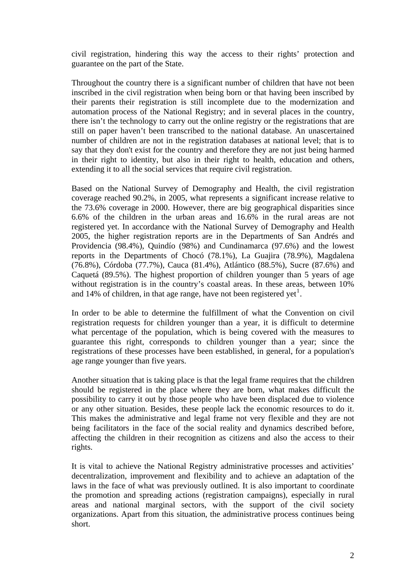civil registration, hindering this way the access to their rights' protection and guarantee on the part of the State.

Throughout the country there is a significant number of children that have not been inscribed in the civil registration when being born or that having been inscribed by their parents their registration is still incomplete due to the modernization and automation process of the National Registry; and in several places in the country, there isn't the technology to carry out the online registry or the registrations that are still on paper haven't been transcribed to the national database. An unascertained number of children are not in the registration databases at national level; that is to say that they don't exist for the country and therefore they are not just being harmed in their right to identity, but also in their right to health, education and others, extending it to all the social services that require civil registration.

Based on the National Survey of Demography and Health, the civil registration coverage reached 90.2%, in 2005, what represents a significant increase relative to the 73.6% coverage in 2000. However, there are big geographical disparities since 6.6% of the children in the urban areas and 16.6% in the rural areas are not registered yet. In accordance with the National Survey of Demography and Health 2005, the higher registration reports are in the Departments of San Andrés and Providencia (98.4%), Quindío (98%) and Cundinamarca (97.6%) and the lowest reports in the Departments of Chocó (78.1%), La Guajira (78.9%), Magdalena (76.8%), Córdoba (77.7%), Cauca (81.4%), Atlántico (88.5%), Sucre (87.6%) and Caquetá (89.5%). The highest proportion of children younger than 5 years of age without registration is in the country's coastal areas. In these areas, between 10% and [1](#page-9-0)4% of children, in that age range, have not been registered yet<sup>1</sup>.

In order to be able to determine the fulfillment of what the Convention on civil registration requests for children younger than a year, it is difficult to determine what percentage of the population, which is being covered with the measures to guarantee this right, corresponds to children younger than a year; since the registrations of these processes have been established, in general, for a population's age range younger than five years.

Another situation that is taking place is that the legal frame requires that the children should be registered in the place where they are born, what makes difficult the possibility to carry it out by those people who have been displaced due to violence or any other situation. Besides, these people lack the economic resources to do it. This makes the administrative and legal frame not very flexible and they are not being facilitators in the face of the social reality and dynamics described before, affecting the children in their recognition as citizens and also the access to their rights.

It is vital to achieve the National Registry administrative processes and activities' decentralization, improvement and flexibility and to achieve an adaptation of the laws in the face of what was previously outlined. It is also important to coordinate the promotion and spreading actions (registration campaigns), especially in rural areas and national marginal sectors, with the support of the civil society organizations. Apart from this situation, the administrative process continues being short.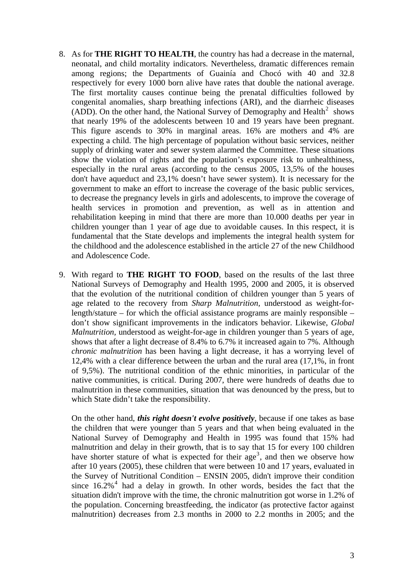- 8. As for **THE RIGHT TO HEALTH**, the country has had a decrease in the maternal, neonatal, and child mortality indicators. Nevertheless, dramatic differences remain among regions; the Departments of Guainía and Chocó with 40 and 32.8 respectively for every 1000 born alive have rates that double the national average. The first mortality causes continue being the prenatal difficulties followed by congenital anomalies, sharp breathing infections (ARI), and the diarrheic diseases (ADD). On the other hand, the National Survey of Demography and Health<sup>[2](#page-9-1)</sup> shows that nearly 19% of the adolescents between 10 and 19 years have been pregnant. This figure ascends to 30% in marginal areas. 16% are mothers and 4% are expecting a child. The high percentage of population without basic services, neither supply of drinking water and sewer system alarmed the Committee. These situations show the violation of rights and the population's exposure risk to unhealthiness, especially in the rural areas (according to the census 2005, 13,5% of the houses don't have aqueduct and 23,1% doesn't have sewer system). It is necessary for the government to make an effort to increase the coverage of the basic public services, to decrease the pregnancy levels in girls and adolescents, to improve the coverage of health services in promotion and prevention, as well as in attention and rehabilitation keeping in mind that there are more than 10.000 deaths per year in children younger than 1 year of age due to avoidable causes. In this respect, it is fundamental that the State develops and implements the integral health system for the childhood and the adolescence established in the article 27 of the new Childhood and Adolescence Code.
- 9. With regard to **THE RIGHT TO FOOD**, based on the results of the last three National Surveys of Demography and Health 1995, 2000 and 2005, it is observed that the evolution of the nutritional condition of children younger than 5 years of age related to the recovery from *Sharp Malnutrition,* understood as weight-forlength/stature – for which the official assistance programs are mainly responsible – don't show significant improvements in the indicators behavior. Likewise, *Global Malnutrition,* understood as weight-for-age in children younger than 5 years of age, shows that after a light decrease of 8.4% to 6.7% it increased again to 7%. Although *chronic malnutrition* has been having a light decrease, it has a worrying level of 12,4% with a clear difference between the urban and the rural area (17,1%, in front of 9,5%). The nutritional condition of the ethnic minorities, in particular of the native communities, is critical. During 2007, there were hundreds of deaths due to malnutrition in these communities, situation that was denounced by the press, but to which State didn't take the responsibility.

On the other hand, *this right doesn't evolve positively*, because if one takes as base the children that were younger than 5 years and that when being evaluated in the National Survey of Demography and Health in 1995 was found that 15% had malnutrition and delay in their growth, that is to say that 15 for every 100 children have shorter stature of what is expected for their  $age<sup>3</sup>$  $age<sup>3</sup>$  $age<sup>3</sup>$ , and then we observe how after 10 years (2005), these children that were between 10 and 17 years, evaluated in the Survey of Nutritional Condition – ENSIN 2005, didn't improve their condition since  $16.2\%$ <sup>[4](#page-9-1)</sup> had a delay in growth. In other words, besides the fact that the situation didn't improve with the time, the chronic malnutrition got worse in 1.2% of the population. Concerning breastfeeding, the indicator (as protective factor against malnutrition) decreases from 2.3 months in 2000 to 2.2 months in 2005; and the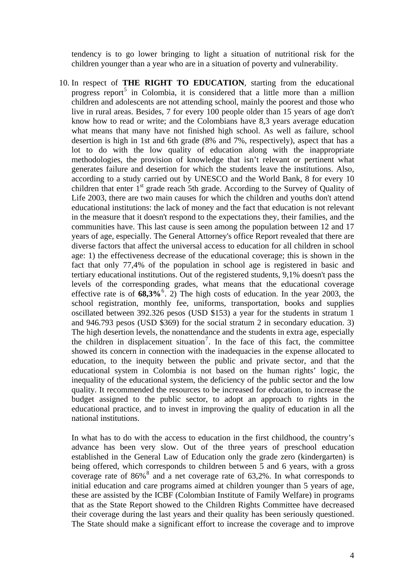tendency is to go lower bringing to light a situation of nutritional risk for the children younger than a year who are in a situation of poverty and vulnerability.

10. In respect of **THE RIGHT TO EDUCATION**, starting from the educational progress report<sup>[5](#page-9-1)</sup> in Colombia, it is considered that a little more than a million children and adolescents are not attending school, mainly the poorest and those who live in rural areas. Besides, 7 for every 100 people older than 15 years of age don't know how to read or write; and the Colombians have 8,3 years average education what means that many have not finished high school. As well as failure, school desertion is high in 1st and 6th grade (8% and 7%, respectively), aspect that has a lot to do with the low quality of education along with the inappropriate methodologies, the provision of knowledge that isn't relevant or pertinent what generates failure and desertion for which the students leave the institutions. Also, according to a study carried out by UNESCO and the World Bank, 8 for every 10 children that enter  $1<sup>st</sup>$  grade reach 5th grade. According to the Survey of Quality of Life 2003, there are two main causes for which the children and youths don't attend educational institutions: the lack of money and the fact that education is not relevant in the measure that it doesn't respond to the expectations they, their families, and the communities have. This last cause is seen among the population between 12 and 17 years of age, especially. The General Attorney's office Report revealed that there are diverse factors that affect the universal access to education for all children in school age: 1) the effectiveness decrease of the educational coverage; this is shown in the fact that only 77,4% of the population in school age is registered in basic and tertiary educational institutions. Out of the registered students, 9,1% doesn't pass the levels of the corresponding grades, what means that the educational coverage effective rate is of  $68,3\%$  $68,3\%$ <sup>6</sup>. 2) The high costs of education. In the year 2003, the school registration, monthly fee, uniforms, transportation, books and supplies oscillated between 392.326 pesos (USD \$153) a year for the students in stratum 1 and 946.793 pesos (USD \$369) for the social stratum 2 in secondary education. 3) The high desertion levels, the nonattendance and the students in extra age, especially the children in displacement situation<sup>[7](#page-9-1)</sup>. In the face of this fact, the committee showed its concern in connection with the inadequacies in the expense allocated to education, to the inequity between the public and private sector, and that the educational system in Colombia is not based on the human rights' logic, the inequality of the educational system, the deficiency of the public sector and the low quality. It recommended the resources to be increased for education, to increase the budget assigned to the public sector, to adopt an approach to rights in the educational practice, and to invest in improving the quality of education in all the national institutions.

In what has to do with the access to education in the first childhood, the country's advance has been very slow. Out of the three years of preschool education established in the General Law of Education only the grade zero (kindergarten) is being offered, which corresponds to children between 5 and 6 years, with a gross coverage rate of  $86\%$  $86\%$ <sup>8</sup> and a net coverage rate of 63,2%. In what corresponds to initial education and care programs aimed at children younger than 5 years of age, these are assisted by the ICBF (Colombian Institute of Family Welfare) in programs that as the State Report showed to the Children Rights Committee have decreased their coverage during the last years and their quality has been seriously questioned. The State should make a significant effort to increase the coverage and to improve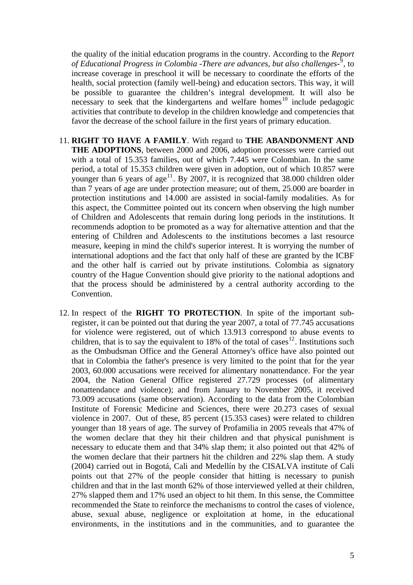the quality of the initial education programs in the country. According to the *Report*  of Educational Progress in Colombia -There are advances, but also challenges-<sup>[9](#page-9-1)</sup>, to increase coverage in preschool it will be necessary to coordinate the efforts of the health, social protection (family well-being) and education sectors. This way, it will be possible to guarantee the children's integral development. It will also be necessary to seek that the kindergartens and welfare homes<sup>[10](#page-9-1)</sup> include pedagogic activities that contribute to develop in the children knowledge and competencies that favor the decrease of the school failure in the first years of primary education.

- 11. **RIGHT TO HAVE A FAMILY**. With regard to **THE ABANDONMENT AND THE ADOPTIONS**, between 2000 and 2006, adoption processes were carried out with a total of 15.353 families, out of which 7.445 were Colombian. In the same period, a total of 15.353 children were given in adoption, out of which 10.857 were younger than 6 years of age<sup>[11](#page-9-1)</sup>. By 2007, it is recognized that 38.000 children older than 7 years of age are under protection measure; out of them, 25.000 are boarder in protection institutions and 14.000 are assisted in social-family modalities. As for this aspect, the Committee pointed out its concern when observing the high number of Children and Adolescents that remain during long periods in the institutions. It recommends adoption to be promoted as a way for alternative attention and that the entering of Children and Adolescents to the institutions becomes a last resource measure, keeping in mind the child's superior interest. It is worrying the number of international adoptions and the fact that only half of these are granted by the ICBF and the other half is carried out by private institutions. Colombia as signatory country of the Hague Convention should give priority to the national adoptions and that the process should be administered by a central authority according to the Convention.
- 12. In respect of the **RIGHT TO PROTECTION**. In spite of the important subregister, it can be pointed out that during the year 2007, a total of 77.745 accusations for violence were registered, out of which 13.913 correspond to abuse events to children, that is to say the equivalent to  $18\%$  of the total of cases<sup>[12](#page-9-1)</sup>. Institutions such as the Ombudsman Office and the General Attorney's office have also pointed out that in Colombia the father's presence is very limited to the point that for the year 2003, 60.000 accusations were received for alimentary nonattendance. For the year 2004, the Nation General Office registered 27.729 processes (of alimentary nonattendance and violence); and from January to November 2005, it received 73.009 accusations (same observation). According to the data from the Colombian Institute of Forensic Medicine and Sciences, there were 20.273 cases of sexual violence in 2007. Out of these, 85 percent (15.353 cases) were related to children younger than 18 years of age. The survey of Profamilia in 2005 reveals that 47% of the women declare that they hit their children and that physical punishment is necessary to educate them and that 34% slap them; it also pointed out that 42% of the women declare that their partners hit the children and 22% slap them. A study (2004) carried out in Bogotá, Cali and Medellín by the CISALVA institute of Cali points out that 27% of the people consider that hitting is necessary to punish children and that in the last month 62% of those interviewed yelled at their children, 27% slapped them and 17% used an object to hit them. In this sense, the Committee recommended the State to reinforce the mechanisms to control the cases of violence, abuse, sexual abuse, negligence or exploitation at home, in the educational environments, in the institutions and in the communities, and to guarantee the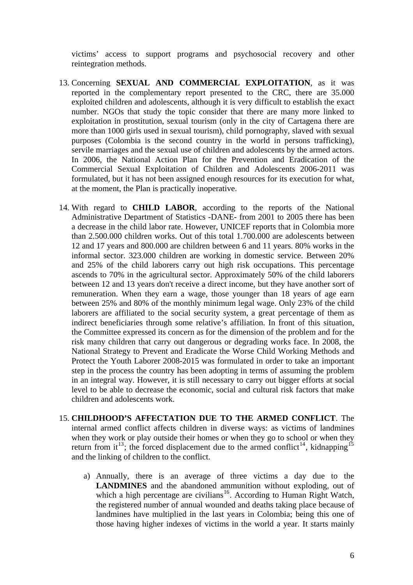victims' access to support programs and psychosocial recovery and other reintegration methods.

- 13. Concerning **SEXUAL AND COMMERCIAL EXPLOITATION**, as it was reported in the complementary report presented to the CRC, there are 35.000 exploited children and adolescents, although it is very difficult to establish the exact number. NGOs that study the topic consider that there are many more linked to exploitation in prostitution, sexual tourism (only in the city of Cartagena there are more than 1000 girls used in sexual tourism), child pornography, slaved with sexual purposes (Colombia is the second country in the world in persons trafficking), servile marriages and the sexual use of children and adolescents by the armed actors. In 2006, the National Action Plan for the Prevention and Eradication of the Commercial Sexual Exploitation of Children and Adolescents 2006-2011 was formulated, but it has not been assigned enough resources for its execution for what, at the moment, the Plan is practically inoperative.
- 14. With regard to **CHILD LABOR**, according to the reports of the National Administrative Department of Statistics -DANE- from 2001 to 2005 there has been a decrease in the child labor rate. However, UNICEF reports that in Colombia more than 2.500.000 children works. Out of this total 1.700.000 are adolescents between 12 and 17 years and 800.000 are children between 6 and 11 years. 80% works in the informal sector. 323.000 children are working in domestic service. Between 20% and 25% of the child laborers carry out high risk occupations. This percentage ascends to 70% in the agricultural sector. Approximately 50% of the child laborers between 12 and 13 years don't receive a direct income, but they have another sort of remuneration. When they earn a wage, those younger than 18 years of age earn between 25% and 80% of the monthly minimum legal wage. Only 23% of the child laborers are affiliated to the social security system, a great percentage of them as indirect beneficiaries through some relative's affiliation. In front of this situation, the Committee expressed its concern as for the dimension of the problem and for the risk many children that carry out dangerous or degrading works face. In 2008, the National Strategy to Prevent and Eradicate the Worse Child Working Methods and Protect the Youth Laborer 2008-2015 was formulated in order to take an important step in the process the country has been adopting in terms of assuming the problem in an integral way. However, it is still necessary to carry out bigger efforts at social level to be able to decrease the economic, social and cultural risk factors that make children and adolescents work.
- 15. **CHILDHOOD'S AFFECTATION DUE TO THE ARMED CONFLICT**. The internal armed conflict affects children in diverse ways: as victims of landmines when they work or play outside their homes or when they go to school or when they return from it<sup>[13](#page-9-1)</sup>; the forced displacement due to the armed conflict<sup>[14](#page-9-1)</sup>, kidnapping<sup>[15](#page-9-1)</sup> and the linking of children to the conflict.
	- a) Annually, there is an average of three victims a day due to the **LANDMINES** and the abandoned ammunition without exploding, out of which a high percentage are civilians<sup>[16](#page-9-1)</sup>. According to Human Right Watch, the registered number of annual wounded and deaths taking place because of landmines have multiplied in the last years in Colombia; being this one of those having higher indexes of victims in the world a year. It starts mainly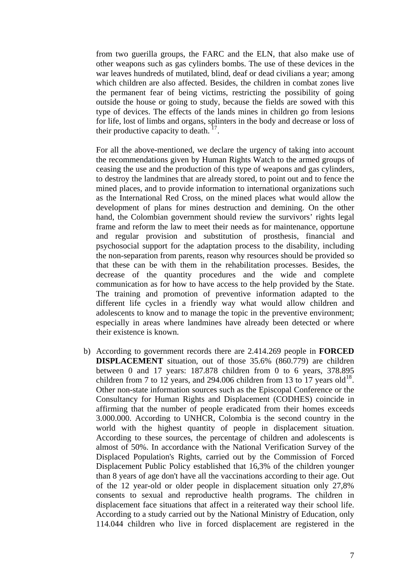from two guerilla groups, the FARC and the ELN, that also make use of other weapons such as gas cylinders bombs. The use of these devices in the war leaves hundreds of mutilated, blind, deaf or dead civilians a year; among which children are also affected. Besides, the children in combat zones live the permanent fear of being victims, restricting the possibility of going outside the house or going to study, because the fields are sowed with this type of devices. The effects of the lands mines in children go from lesions for life, lost of limbs and organs, splinters in the body and decrease or loss of their productive capacity to death.  $^{17}$  $^{17}$  $^{17}$ .

For all the above-mentioned, we declare the urgency of taking into account the recommendations given by Human Rights Watch to the armed groups of ceasing the use and the production of this type of weapons and gas cylinders, to destroy the landmines that are already stored, to point out and to fence the mined places, and to provide information to international organizations such as the International Red Cross, on the mined places what would allow the development of plans for mines destruction and demining. On the other hand, the Colombian government should review the survivors' rights legal frame and reform the law to meet their needs as for maintenance, opportune and regular provision and substitution of prosthesis, financial and psychosocial support for the adaptation process to the disability, including the non-separation from parents, reason why resources should be provided so that these can be with them in the rehabilitation processes. Besides, the decrease of the quantity procedures and the wide and complete communication as for how to have access to the help provided by the State. The training and promotion of preventive information adapted to the different life cycles in a friendly way what would allow children and adolescents to know and to manage the topic in the preventive environment; especially in areas where landmines have already been detected or where their existence is known.

b) According to government records there are 2.414.269 people in **FORCED DISPLACEMENT** situation, out of those 35.6% (860.779) are children between 0 and 17 years: 187.878 children from 0 to 6 years, 378.895 children from 7 to 12 years, and 294.006 children from 13 to 17 years old<sup>[18](#page-9-1)</sup>. Other non-state information sources such as the Episcopal Conference or the Consultancy for Human Rights and Displacement (CODHES) coincide in affirming that the number of people eradicated from their homes exceeds 3.000.000. According to UNHCR, Colombia is the second country in the world with the highest quantity of people in displacement situation. According to these sources, the percentage of children and adolescents is almost of 50%. In accordance with the National Verification Survey of the Displaced Population's Rights, carried out by the Commission of Forced Displacement Public Policy established that 16,3% of the children younger than 8 years of age don't have all the vaccinations according to their age. Out of the 12 year-old or older people in displacement situation only 27,8% consents to sexual and reproductive health programs. The children in displacement face situations that affect in a reiterated way their school life. According to a study carried out by the National Ministry of Education, only 114.044 children who live in forced displacement are registered in the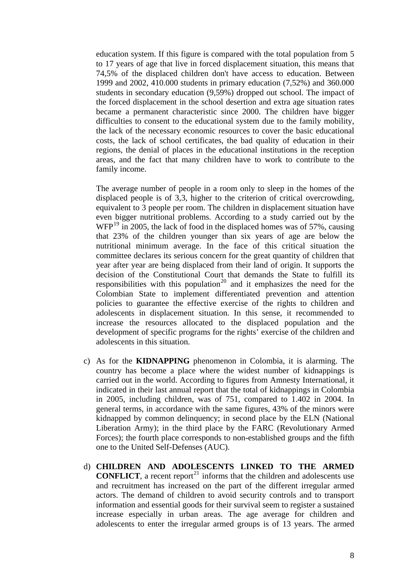education system. If this figure is compared with the total population from 5 to 17 years of age that live in forced displacement situation, this means that 74,5% of the displaced children don't have access to education. Between 1999 and 2002, 410.000 students in primary education (7,52%) and 360.000 students in secondary education (9,59%) dropped out school. The impact of the forced displacement in the school desertion and extra age situation rates became a permanent characteristic since 2000. The children have bigger difficulties to consent to the educational system due to the family mobility, the lack of the necessary economic resources to cover the basic educational costs, the lack of school certificates, the bad quality of education in their regions, the denial of places in the educational institutions in the reception areas, and the fact that many children have to work to contribute to the family income.

The average number of people in a room only to sleep in the homes of the displaced people is of 3,3, higher to the criterion of critical overcrowding, equivalent to 3 people per room. The children in displacement situation have even bigger nutritional problems. According to a study carried out by the  $WFP<sup>19</sup>$  $WFP<sup>19</sup>$  $WFP<sup>19</sup>$  in 2005, the lack of food in the displaced homes was of 57%, causing that 23% of the children younger than six years of age are below the nutritional minimum average. In the face of this critical situation the committee declares its serious concern for the great quantity of children that year after year are being displaced from their land of origin. It supports the decision of the Constitutional Court that demands the State to fulfill its responsibilities with this population<sup>[20](#page-9-1)</sup> and it emphasizes the need for the Colombian State to implement differentiated prevention and attention policies to guarantee the effective exercise of the rights to children and adolescents in displacement situation. In this sense, it recommended to increase the resources allocated to the displaced population and the development of specific programs for the rights' exercise of the children and adolescents in this situation.

- c) As for the **KIDNAPPING** phenomenon in Colombia, it is alarming. The country has become a place where the widest number of kidnappings is carried out in the world. According to figures from Amnesty International, it indicated in their last annual report that the total of kidnappings in Colombia in 2005, including children, was of 751, compared to 1.402 in 2004. In general terms, in accordance with the same figures, 43% of the minors were kidnapped by common delinquency; in second place by the ELN (National Liberation Army); in the third place by the FARC (Revolutionary Armed Forces); the fourth place corresponds to non-established groups and the fifth one to the United Self-Defenses (AUC).
- d) **CHILDREN AND ADOLESCENTS LINKED TO THE ARMED CONFLICT**, a recent report<sup>[21](#page-9-1)</sup> informs that the children and adolescents use and recruitment has increased on the part of the different irregular armed actors. The demand of children to avoid security controls and to transport information and essential goods for their survival seem to register a sustained increase especially in urban areas. The age average for children and adolescents to enter the irregular armed groups is of 13 years. The armed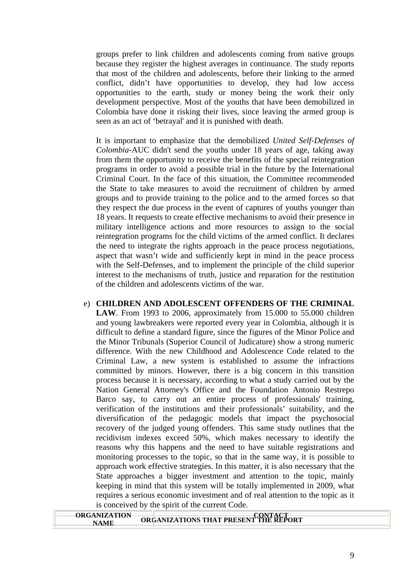groups prefer to link children and adolescents coming from native groups because they register the highest averages in continuance. The study reports that most of the children and adolescents, before their linking to the armed conflict, didn't have opportunities to develop, they had low access opportunities to the earth, study or money being the work their only development perspective. Most of the youths that have been demobilized in Colombia have done it risking their lives, since leaving the armed group is seen as an act of 'betrayal' and it is punished with death.

It is important to emphasize that the demobilized *United Self-Defenses of Colombia*-AUC didn't send the youths under 18 years of age, taking away from them the opportunity to receive the benefits of the special reintegration programs in order to avoid a possible trial in the future by the International Criminal Court. In the face of this situation, the Committee recommended the State to take measures to avoid the recruitment of children by armed groups and to provide training to the police and to the armed forces so that they respect the due process in the event of captures of youths younger than 18 years. It requests to create effective mechanisms to avoid their presence in military intelligence actions and more resources to assign to the social reintegration programs for the child victims of the armed conflict. It declares the need to integrate the rights approach in the peace process negotiations, aspect that wasn't wide and sufficiently kept in mind in the peace process with the Self-Defenses, and to implement the principle of the child superior interest to the mechanisms of truth, justice and reparation for the restitution of the children and adolescents victims of the war.

e) **CHILDREN AND ADOLESCENT OFFENDERS OF THE CRIMINAL LAW**. From 1993 to 2006, approximately from 15.000 to 55.000 children and young lawbreakers were reported every year in Colombia, although it is difficult to define a standard figure, since the figures of the Minor Police and the Minor Tribunals (Superior Council of Judicature) show a strong numeric difference. With the new Childhood and Adolescence Code related to the Criminal Law, a new system is established to assume the infractions committed by minors. However, there is a big concern in this transition process because it is necessary, according to what a study carried out by the Nation General Attorney's Office and the Foundation Antonio Restrepo Barco say, to carry out an entire process of professionals' training, verification of the institutions and their professionals' suitability, and the diversification of the pedagogic models that impact the psychosocial recovery of the judged young offenders. This same study outlines that the recidivism indexes exceed 50%, which makes necessary to identify the reasons why this happens and the need to have suitable registrations and monitoring processes to the topic, so that in the same way, it is possible to approach work effective strategies. In this matter, it is also necessary that the State approaches a bigger investment and attention to the topic, mainly keeping in mind that this system will be totally implemented in 2009, what requires a serious economic investment and of real attention to the topic as it is conceived by the spirit of the current Code.

| <b>ORGANIZATION</b> |                                       |
|---------------------|---------------------------------------|
|                     | ORGANIZATIONS THAT PRESENT THE REPORT |
|                     |                                       |
|                     |                                       |
|                     |                                       |